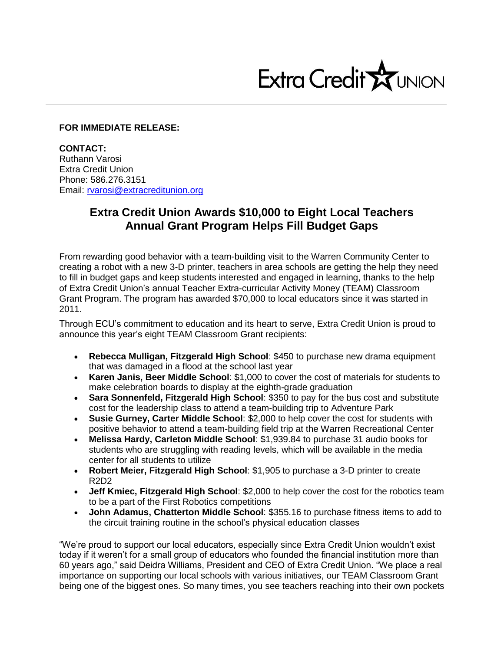

## **FOR IMMEDIATE RELEASE:**

**CONTACT:** Ruthann Varosi Extra Credit Union Phone: 586.276.3151 Email: [rvarosi@extracreditunion.org](mailto:rvarosi@extracreditunion.org)

## **Extra Credit Union Awards \$10,000 to Eight Local Teachers Annual Grant Program Helps Fill Budget Gaps**

From rewarding good behavior with a team-building visit to the Warren Community Center to creating a robot with a new 3-D printer, teachers in area schools are getting the help they need to fill in budget gaps and keep students interested and engaged in learning, thanks to the help of Extra Credit Union's annual Teacher Extra-curricular Activity Money (TEAM) Classroom Grant Program. The program has awarded \$70,000 to local educators since it was started in 2011.

Through ECU's commitment to education and its heart to serve, Extra Credit Union is proud to announce this year's eight TEAM Classroom Grant recipients:

- **Rebecca Mulligan, Fitzgerald High School**: \$450 to purchase new drama equipment that was damaged in a flood at the school last year
- **Karen Janis, Beer Middle School**: \$1,000 to cover the cost of materials for students to make celebration boards to display at the eighth-grade graduation
- **Sara Sonnenfeld, Fitzgerald High School**: \$350 to pay for the bus cost and substitute cost for the leadership class to attend a team-building trip to Adventure Park
- **Susie Gurney, Carter Middle School**: \$2,000 to help cover the cost for students with positive behavior to attend a team-building field trip at the Warren Recreational Center
- **Melissa Hardy, Carleton Middle School**: \$1,939.84 to purchase 31 audio books for students who are struggling with reading levels, which will be available in the media center for all students to utilize
- **Robert Meier, Fitzgerald High School**: \$1,905 to purchase a 3-D printer to create R2D2
- **Jeff Kmiec, Fitzgerald High School**: \$2,000 to help cover the cost for the robotics team to be a part of the First Robotics competitions
- **John Adamus, Chatterton Middle School**: \$355.16 to purchase fitness items to add to the circuit training routine in the school's physical education classes

"We're proud to support our local educators, especially since Extra Credit Union wouldn't exist today if it weren't for a small group of educators who founded the financial institution more than 60 years ago," said Deidra Williams, President and CEO of Extra Credit Union. "We place a real importance on supporting our local schools with various initiatives, our TEAM Classroom Grant being one of the biggest ones. So many times, you see teachers reaching into their own pockets